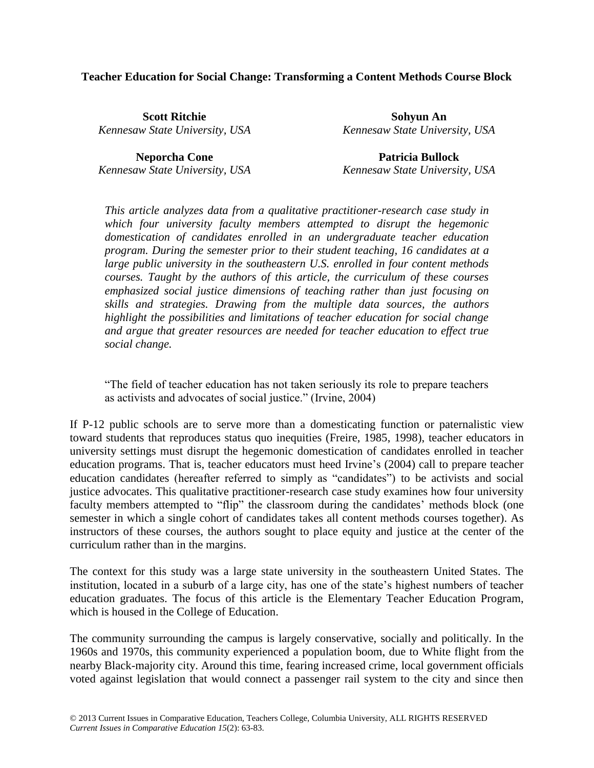#### **Teacher Education for Social Change: Transforming a Content Methods Course Block**

**Scott Ritchie** *Kennesaw State University, USA*

**Neporcha Cone** *Kennesaw State University, USA*

**Sohyun An** *Kennesaw State University, USA*

**Patricia Bullock** *Kennesaw State University, USA*

*This article analyzes data from a qualitative practitioner-research case study in which four university faculty members attempted to disrupt the hegemonic domestication of candidates enrolled in an undergraduate teacher education program. During the semester prior to their student teaching, 16 candidates at a large public university in the southeastern U.S. enrolled in four content methods courses. Taught by the authors of this article, the curriculum of these courses emphasized social justice dimensions of teaching rather than just focusing on skills and strategies. Drawing from the multiple data sources, the authors highlight the possibilities and limitations of teacher education for social change and argue that greater resources are needed for teacher education to effect true social change.*

"The field of teacher education has not taken seriously its role to prepare teachers as activists and advocates of social justice." (Irvine, 2004)

If P-12 public schools are to serve more than a domesticating function or paternalistic view toward students that reproduces status quo inequities (Freire, 1985, 1998), teacher educators in university settings must disrupt the hegemonic domestication of candidates enrolled in teacher education programs. That is, teacher educators must heed Irvine's (2004) call to prepare teacher education candidates (hereafter referred to simply as "candidates") to be activists and social justice advocates. This qualitative practitioner-research case study examines how four university faculty members attempted to "flip" the classroom during the candidates' methods block (one semester in which a single cohort of candidates takes all content methods courses together). As instructors of these courses, the authors sought to place equity and justice at the center of the curriculum rather than in the margins.

The context for this study was a large state university in the southeastern United States. The institution, located in a suburb of a large city, has one of the state's highest numbers of teacher education graduates. The focus of this article is the Elementary Teacher Education Program, which is housed in the College of Education.

The community surrounding the campus is largely conservative, socially and politically. In the 1960s and 1970s, this community experienced a population boom, due to White flight from the nearby Black-majority city. Around this time, fearing increased crime, local government officials voted against legislation that would connect a passenger rail system to the city and since then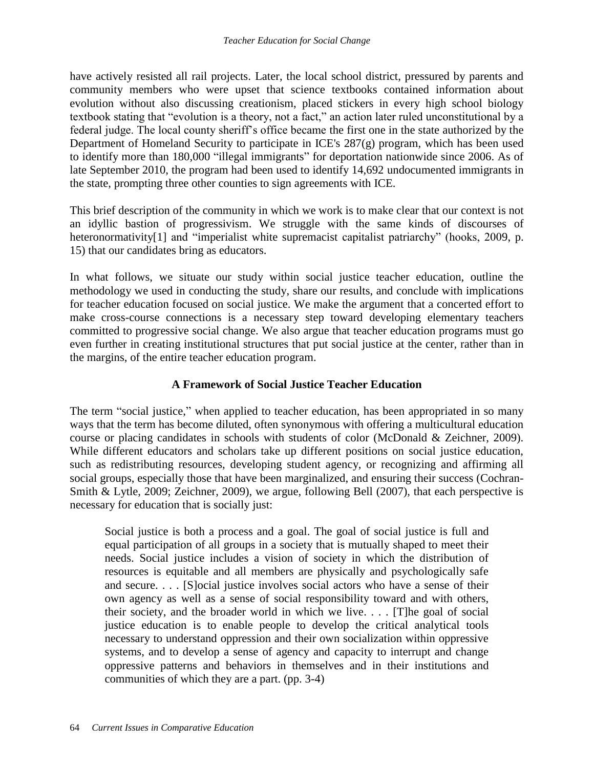have actively resisted all rail projects. Later, the local school district, pressured by parents and community members who were upset that science textbooks contained information about evolution without also discussing creationism, placed stickers in every high school biology textbook stating that "evolution is a theory, not a fact," an action later ruled unconstitutional by a federal judge. The local county sheriff's office became the first one in the state authorized by the Department of Homeland Security to participate in ICE's 287(g) program, which has been used to identify more than 180,000 "illegal immigrants" for deportation nationwide since 2006. As of late September 2010, the program had been used to identify 14,692 undocumented immigrants in the state, prompting three other counties to sign agreements with ICE.

This brief description of the community in which we work is to make clear that our context is not an idyllic bastion of progressivism. We struggle with the same kinds of discourses of heteronormativity<sup>[1]</sup> and "imperialist white supremacist capitalist patriarchy" (hooks, 2009, p. 15) that our candidates bring as educators.

In what follows, we situate our study within social justice teacher education, outline the methodology we used in conducting the study, share our results, and conclude with implications for teacher education focused on social justice. We make the argument that a concerted effort to make cross-course connections is a necessary step toward developing elementary teachers committed to progressive social change. We also argue that teacher education programs must go even further in creating institutional structures that put social justice at the center, rather than in the margins, of the entire teacher education program.

# **A Framework of Social Justice Teacher Education**

The term "social justice," when applied to teacher education, has been appropriated in so many ways that the term has become diluted, often synonymous with offering a multicultural education course or placing candidates in schools with students of color (McDonald & Zeichner, 2009). While different educators and scholars take up different positions on social justice education, such as redistributing resources, developing student agency, or recognizing and affirming all social groups, especially those that have been marginalized, and ensuring their success (Cochran-Smith & Lytle, 2009; Zeichner, 2009), we argue, following Bell (2007), that each perspective is necessary for education that is socially just:

Social justice is both a process and a goal. The goal of social justice is full and equal participation of all groups in a society that is mutually shaped to meet their needs. Social justice includes a vision of society in which the distribution of resources is equitable and all members are physically and psychologically safe and secure. . . . [S]ocial justice involves social actors who have a sense of their own agency as well as a sense of social responsibility toward and with others, their society, and the broader world in which we live. . . . [T]he goal of social justice education is to enable people to develop the critical analytical tools necessary to understand oppression and their own socialization within oppressive systems, and to develop a sense of agency and capacity to interrupt and change oppressive patterns and behaviors in themselves and in their institutions and communities of which they are a part. (pp. 3-4)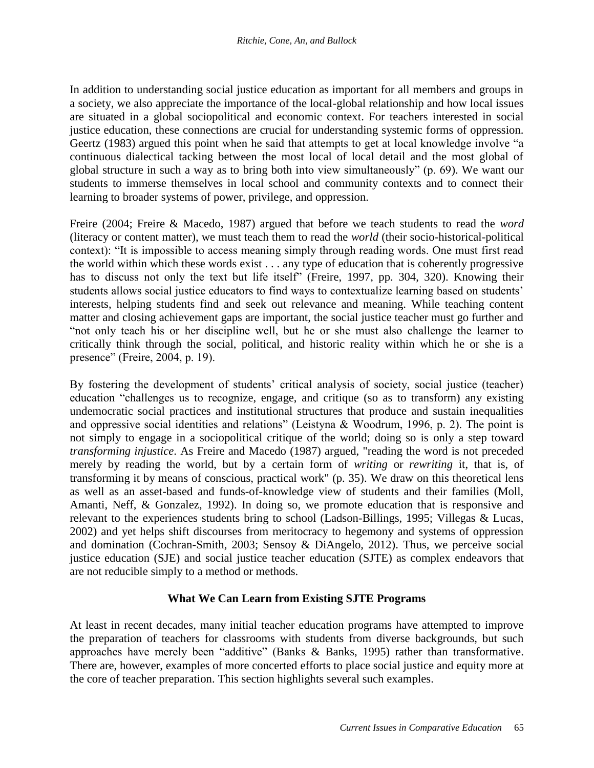In addition to understanding social justice education as important for all members and groups in a society, we also appreciate the importance of the local-global relationship and how local issues are situated in a global sociopolitical and economic context. For teachers interested in social justice education, these connections are crucial for understanding systemic forms of oppression. Geertz (1983) argued this point when he said that attempts to get at local knowledge involve "a continuous dialectical tacking between the most local of local detail and the most global of global structure in such a way as to bring both into view simultaneously" (p. 69). We want our students to immerse themselves in local school and community contexts and to connect their learning to broader systems of power, privilege, and oppression.

Freire (2004; Freire & Macedo, 1987) argued that before we teach students to read the *word* (literacy or content matter), we must teach them to read the *world* (their socio-historical-political context): "It is impossible to access meaning simply through reading words. One must first read the world within which these words exist . . . any type of education that is coherently progressive has to discuss not only the text but life itself" (Freire, 1997, pp. 304, 320). Knowing their students allows social justice educators to find ways to contextualize learning based on students' interests, helping students find and seek out relevance and meaning. While teaching content matter and closing achievement gaps are important, the social justice teacher must go further and "not only teach his or her discipline well, but he or she must also challenge the learner to critically think through the social, political, and historic reality within which he or she is a presence" (Freire, 2004, p. 19).

By fostering the development of students' critical analysis of society, social justice (teacher) education "challenges us to recognize, engage, and critique (so as to transform) any existing undemocratic social practices and institutional structures that produce and sustain inequalities and oppressive social identities and relations" (Leistyna & Woodrum, 1996, p. 2). The point is not simply to engage in a sociopolitical critique of the world; doing so is only a step toward *transforming injustice*. As Freire and Macedo (1987) argued, "reading the word is not preceded merely by reading the world, but by a certain form of *writing* or *rewriting* it, that is, of transforming it by means of conscious, practical work" (p. 35). We draw on this theoretical lens as well as an asset-based and funds-of-knowledge view of students and their families (Moll, Amanti, Neff, & Gonzalez, 1992). In doing so, we promote education that is responsive and relevant to the experiences students bring to school (Ladson-Billings, 1995; Villegas & Lucas, 2002) and yet helps shift discourses from meritocracy to hegemony and systems of oppression and domination (Cochran-Smith, 2003; Sensoy & DiAngelo, 2012). Thus, we perceive social justice education (SJE) and social justice teacher education (SJTE) as complex endeavors that are not reducible simply to a method or methods.

## **What We Can Learn from Existing SJTE Programs**

At least in recent decades, many initial teacher education programs have attempted to improve the preparation of teachers for classrooms with students from diverse backgrounds, but such approaches have merely been "additive" (Banks & Banks, 1995) rather than transformative. There are, however, examples of more concerted efforts to place social justice and equity more at the core of teacher preparation. This section highlights several such examples.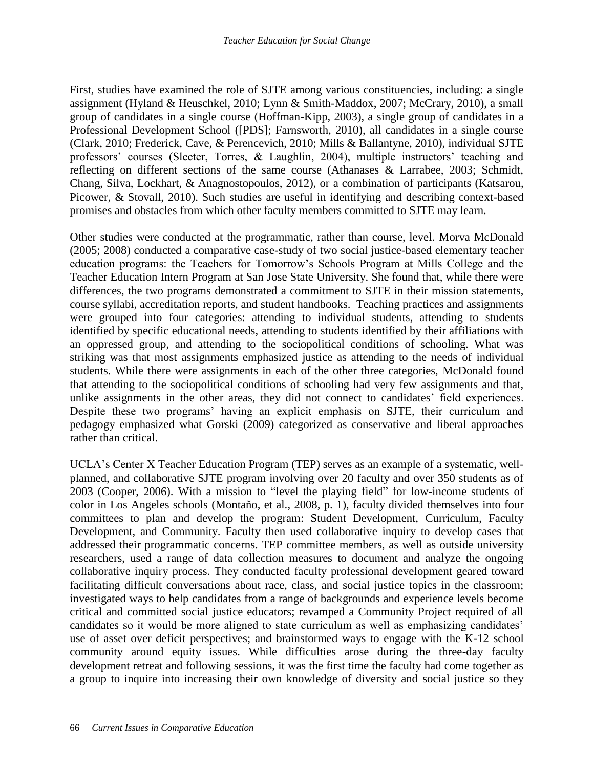First, studies have examined the role of SJTE among various constituencies, including: a single assignment (Hyland & Heuschkel, 2010; Lynn & Smith-Maddox, 2007; McCrary, 2010), a small group of candidates in a single course (Hoffman-Kipp, 2003), a single group of candidates in a Professional Development School ([PDS]; Farnsworth, 2010), all candidates in a single course (Clark, 2010; Frederick, Cave, & Perencevich, 2010; Mills & Ballantyne, 2010), individual SJTE professors' courses (Sleeter, Torres, & Laughlin, 2004), multiple instructors' teaching and reflecting on different sections of the same course (Athanases & Larrabee, 2003; Schmidt, Chang, Silva, Lockhart, & Anagnostopoulos, 2012), or a combination of participants (Katsarou, Picower, & Stovall, 2010). Such studies are useful in identifying and describing context-based promises and obstacles from which other faculty members committed to SJTE may learn.

Other studies were conducted at the programmatic, rather than course, level. Morva McDonald (2005; 2008) conducted a comparative case-study of two social justice-based elementary teacher education programs: the Teachers for Tomorrow's Schools Program at Mills College and the Teacher Education Intern Program at San Jose State University. She found that, while there were differences, the two programs demonstrated a commitment to SJTE in their mission statements, course syllabi, accreditation reports, and student handbooks. Teaching practices and assignments were grouped into four categories: attending to individual students, attending to students identified by specific educational needs, attending to students identified by their affiliations with an oppressed group, and attending to the sociopolitical conditions of schooling. What was striking was that most assignments emphasized justice as attending to the needs of individual students. While there were assignments in each of the other three categories, McDonald found that attending to the sociopolitical conditions of schooling had very few assignments and that, unlike assignments in the other areas, they did not connect to candidates' field experiences. Despite these two programs' having an explicit emphasis on SJTE, their curriculum and pedagogy emphasized what Gorski (2009) categorized as conservative and liberal approaches rather than critical.

UCLA's Center X Teacher Education Program (TEP) serves as an example of a systematic, wellplanned, and collaborative SJTE program involving over 20 faculty and over 350 students as of 2003 (Cooper, 2006). With a mission to "level the playing field" for low-income students of color in Los Angeles schools (Montaño, et al., 2008, p. 1), faculty divided themselves into four committees to plan and develop the program: Student Development, Curriculum, Faculty Development, and Community. Faculty then used collaborative inquiry to develop cases that addressed their programmatic concerns. TEP committee members, as well as outside university researchers, used a range of data collection measures to document and analyze the ongoing collaborative inquiry process. They conducted faculty professional development geared toward facilitating difficult conversations about race, class, and social justice topics in the classroom; investigated ways to help candidates from a range of backgrounds and experience levels become critical and committed social justice educators; revamped a Community Project required of all candidates so it would be more aligned to state curriculum as well as emphasizing candidates' use of asset over deficit perspectives; and brainstormed ways to engage with the K-12 school community around equity issues. While difficulties arose during the three-day faculty development retreat and following sessions, it was the first time the faculty had come together as a group to inquire into increasing their own knowledge of diversity and social justice so they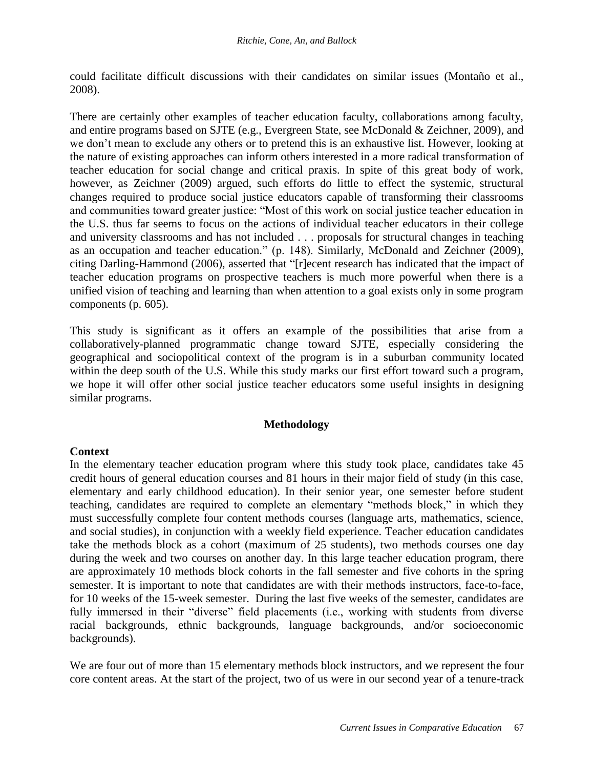could facilitate difficult discussions with their candidates on similar issues (Montaño et al., 2008).

There are certainly other examples of teacher education faculty, collaborations among faculty, and entire programs based on SJTE (e.g., Evergreen State, see McDonald & Zeichner, 2009), and we don't mean to exclude any others or to pretend this is an exhaustive list. However, looking at the nature of existing approaches can inform others interested in a more radical transformation of teacher education for social change and critical praxis. In spite of this great body of work, however, as Zeichner (2009) argued, such efforts do little to effect the systemic, structural changes required to produce social justice educators capable of transforming their classrooms and communities toward greater justice: "Most of this work on social justice teacher education in the U.S. thus far seems to focus on the actions of individual teacher educators in their college and university classrooms and has not included . . . proposals for structural changes in teaching as an occupation and teacher education." (p. 148). Similarly, McDonald and Zeichner (2009), citing Darling-Hammond (2006), asserted that "[r]ecent research has indicated that the impact of teacher education programs on prospective teachers is much more powerful when there is a unified vision of teaching and learning than when attention to a goal exists only in some program components (p. 605).

This study is significant as it offers an example of the possibilities that arise from a collaboratively-planned programmatic change toward SJTE, especially considering the geographical and sociopolitical context of the program is in a suburban community located within the deep south of the U.S. While this study marks our first effort toward such a program, we hope it will offer other social justice teacher educators some useful insights in designing similar programs.

## **Methodology**

#### **Context**

In the elementary teacher education program where this study took place, candidates take 45 credit hours of general education courses and 81 hours in their major field of study (in this case, elementary and early childhood education). In their senior year, one semester before student teaching, candidates are required to complete an elementary "methods block," in which they must successfully complete four content methods courses (language arts, mathematics, science, and social studies), in conjunction with a weekly field experience. Teacher education candidates take the methods block as a cohort (maximum of 25 students), two methods courses one day during the week and two courses on another day. In this large teacher education program, there are approximately 10 methods block cohorts in the fall semester and five cohorts in the spring semester. It is important to note that candidates are with their methods instructors, face-to-face, for 10 weeks of the 15-week semester. During the last five weeks of the semester, candidates are fully immersed in their "diverse" field placements (i.e., working with students from diverse racial backgrounds, ethnic backgrounds, language backgrounds, and/or socioeconomic backgrounds).

We are four out of more than 15 elementary methods block instructors, and we represent the four core content areas. At the start of the project, two of us were in our second year of a tenure-track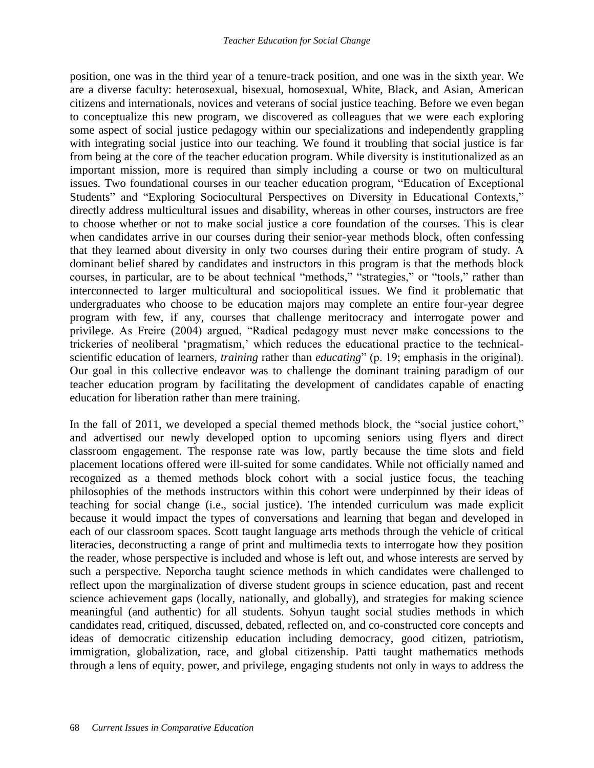position, one was in the third year of a tenure-track position, and one was in the sixth year. We are a diverse faculty: heterosexual, bisexual, homosexual, White, Black, and Asian, American citizens and internationals, novices and veterans of social justice teaching. Before we even began to conceptualize this new program, we discovered as colleagues that we were each exploring some aspect of social justice pedagogy within our specializations and independently grappling with integrating social justice into our teaching. We found it troubling that social justice is far from being at the core of the teacher education program. While diversity is institutionalized as an important mission, more is required than simply including a course or two on multicultural issues. Two foundational courses in our teacher education program, "Education of Exceptional Students" and "Exploring Sociocultural Perspectives on Diversity in Educational Contexts," directly address multicultural issues and disability, whereas in other courses, instructors are free to choose whether or not to make social justice a core foundation of the courses. This is clear when candidates arrive in our courses during their senior-year methods block, often confessing that they learned about diversity in only two courses during their entire program of study. A dominant belief shared by candidates and instructors in this program is that the methods block courses, in particular, are to be about technical "methods," "strategies," or "tools," rather than interconnected to larger multicultural and sociopolitical issues. We find it problematic that undergraduates who choose to be education majors may complete an entire four-year degree program with few, if any, courses that challenge meritocracy and interrogate power and privilege. As Freire (2004) argued, "Radical pedagogy must never make concessions to the trickeries of neoliberal 'pragmatism,' which reduces the educational practice to the technicalscientific education of learners, *training* rather than *educating*" (p. 19; emphasis in the original). Our goal in this collective endeavor was to challenge the dominant training paradigm of our teacher education program by facilitating the development of candidates capable of enacting education for liberation rather than mere training.

In the fall of 2011, we developed a special themed methods block, the "social justice cohort," and advertised our newly developed option to upcoming seniors using flyers and direct classroom engagement. The response rate was low, partly because the time slots and field placement locations offered were ill-suited for some candidates. While not officially named and recognized as a themed methods block cohort with a social justice focus, the teaching philosophies of the methods instructors within this cohort were underpinned by their ideas of teaching for social change (i.e., social justice). The intended curriculum was made explicit because it would impact the types of conversations and learning that began and developed in each of our classroom spaces. Scott taught language arts methods through the vehicle of critical literacies, deconstructing a range of print and multimedia texts to interrogate how they position the reader, whose perspective is included and whose is left out, and whose interests are served by such a perspective. Neporcha taught science methods in which candidates were challenged to reflect upon the marginalization of diverse student groups in science education, past and recent science achievement gaps (locally, nationally, and globally), and strategies for making science meaningful (and authentic) for all students. Sohyun taught social studies methods in which candidates read, critiqued, discussed, debated, reflected on, and co-constructed core concepts and ideas of democratic citizenship education including democracy, good citizen, patriotism, immigration, globalization, race, and global citizenship. Patti taught mathematics methods through a lens of equity, power, and privilege, engaging students not only in ways to address the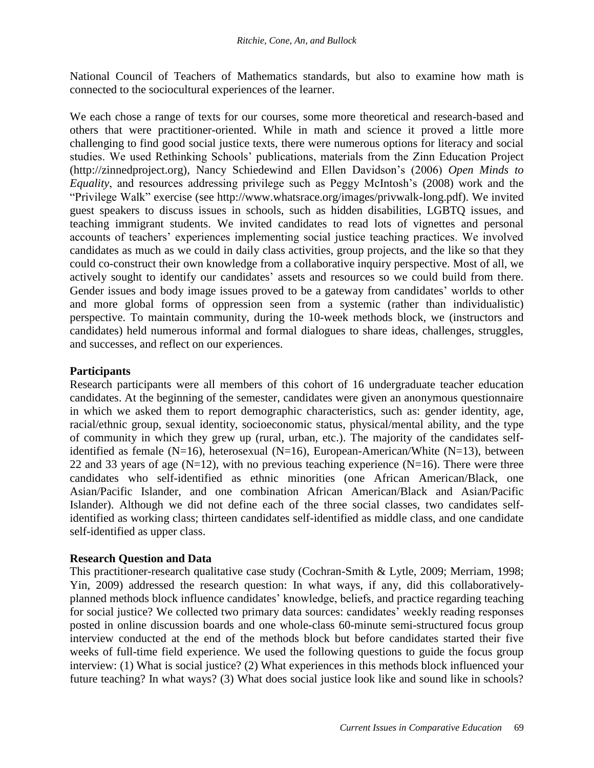National Council of Teachers of Mathematics standards, but also to examine how math is connected to the sociocultural experiences of the learner.

We each chose a range of texts for our courses, some more theoretical and research-based and others that were practitioner-oriented. While in math and science it proved a little more challenging to find good social justice texts, there were numerous options for literacy and social studies. We used Rethinking Schools' publications, materials from the Zinn Education Project (http://zinnedproject.org), Nancy Schiedewind and Ellen Davidson's (2006) *Open Minds to Equality*, and resources addressing privilege such as Peggy McIntosh's (2008) work and the "Privilege Walk" exercise (see http://www.whatsrace.org/images/privwalk-long.pdf). We invited guest speakers to discuss issues in schools, such as hidden disabilities, LGBTQ issues, and teaching immigrant students. We invited candidates to read lots of vignettes and personal accounts of teachers' experiences implementing social justice teaching practices. We involved candidates as much as we could in daily class activities, group projects, and the like so that they could co-construct their own knowledge from a collaborative inquiry perspective. Most of all, we actively sought to identify our candidates' assets and resources so we could build from there. Gender issues and body image issues proved to be a gateway from candidates' worlds to other and more global forms of oppression seen from a systemic (rather than individualistic) perspective. To maintain community, during the 10-week methods block, we (instructors and candidates) held numerous informal and formal dialogues to share ideas, challenges, struggles, and successes, and reflect on our experiences.

## **Participants**

Research participants were all members of this cohort of 16 undergraduate teacher education candidates. At the beginning of the semester, candidates were given an anonymous questionnaire in which we asked them to report demographic characteristics, such as: gender identity, age, racial/ethnic group, sexual identity, socioeconomic status, physical/mental ability, and the type of community in which they grew up (rural, urban, etc.). The majority of the candidates selfidentified as female (N=16), heterosexual (N=16), European-American/White (N=13), between 22 and 33 years of age ( $N=12$ ), with no previous teaching experience ( $N=16$ ). There were three candidates who self-identified as ethnic minorities (one African American/Black, one Asian/Pacific Islander, and one combination African American/Black and Asian/Pacific Islander). Although we did not define each of the three social classes, two candidates selfidentified as working class; thirteen candidates self-identified as middle class, and one candidate self-identified as upper class.

## **Research Question and Data**

This practitioner-research qualitative case study (Cochran-Smith & Lytle, 2009; Merriam, 1998; Yin, 2009) addressed the research question: In what ways, if any, did this collaborativelyplanned methods block influence candidates' knowledge, beliefs, and practice regarding teaching for social justice? We collected two primary data sources: candidates' weekly reading responses posted in online discussion boards and one whole-class 60-minute semi-structured focus group interview conducted at the end of the methods block but before candidates started their five weeks of full-time field experience. We used the following questions to guide the focus group interview: (1) What is social justice? (2) What experiences in this methods block influenced your future teaching? In what ways? (3) What does social justice look like and sound like in schools?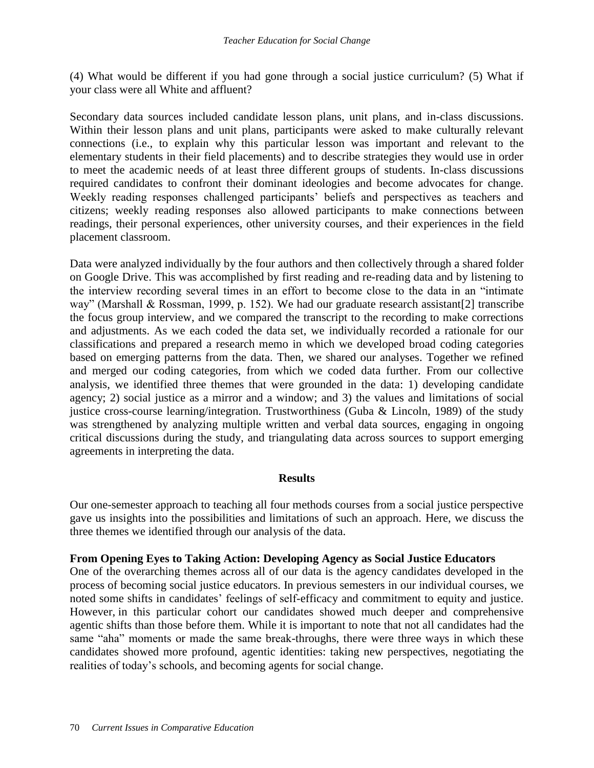(4) What would be different if you had gone through a social justice curriculum? (5) What if your class were all White and affluent?

Secondary data sources included candidate lesson plans, unit plans, and in-class discussions. Within their lesson plans and unit plans, participants were asked to make culturally relevant connections (i.e., to explain why this particular lesson was important and relevant to the elementary students in their field placements) and to describe strategies they would use in order to meet the academic needs of at least three different groups of students. In-class discussions required candidates to confront their dominant ideologies and become advocates for change. Weekly reading responses challenged participants' beliefs and perspectives as teachers and citizens; weekly reading responses also allowed participants to make connections between readings, their personal experiences, other university courses, and their experiences in the field placement classroom.

Data were analyzed individually by the four authors and then collectively through a shared folder on Google Drive. This was accomplished by first reading and re-reading data and by listening to the interview recording several times in an effort to become close to the data in an "intimate way" (Marshall & Rossman, 1999, p. 152). We had our graduate research assistant[2] transcribe the focus group interview, and we compared the transcript to the recording to make corrections and adjustments. As we each coded the data set, we individually recorded a rationale for our classifications and prepared a research memo in which we developed broad coding categories based on emerging patterns from the data. Then, we shared our analyses. Together we refined and merged our coding categories, from which we coded data further. From our collective analysis, we identified three themes that were grounded in the data: 1) developing candidate agency; 2) social justice as a mirror and a window; and 3) the values and limitations of social justice cross-course learning/integration. Trustworthiness (Guba & Lincoln, 1989) of the study was strengthened by analyzing multiple written and verbal data sources, engaging in ongoing critical discussions during the study, and triangulating data across sources to support emerging agreements in interpreting the data.

#### **Results**

Our one-semester approach to teaching all four methods courses from a social justice perspective gave us insights into the possibilities and limitations of such an approach. Here, we discuss the three themes we identified through our analysis of the data.

#### **From Opening Eyes to Taking Action: Developing Agency as Social Justice Educators**

One of the overarching themes across all of our data is the agency candidates developed in the process of becoming social justice educators. In previous semesters in our individual courses, we noted some shifts in candidates' feelings of self-efficacy and commitment to equity and justice. However, in this particular cohort our candidates showed much deeper and comprehensive agentic shifts than those before them. While it is important to note that not all candidates had the same "aha" moments or made the same break-throughs, there were three ways in which these candidates showed more profound, agentic identities: taking new perspectives, negotiating the realities of today's schools, and becoming agents for social change.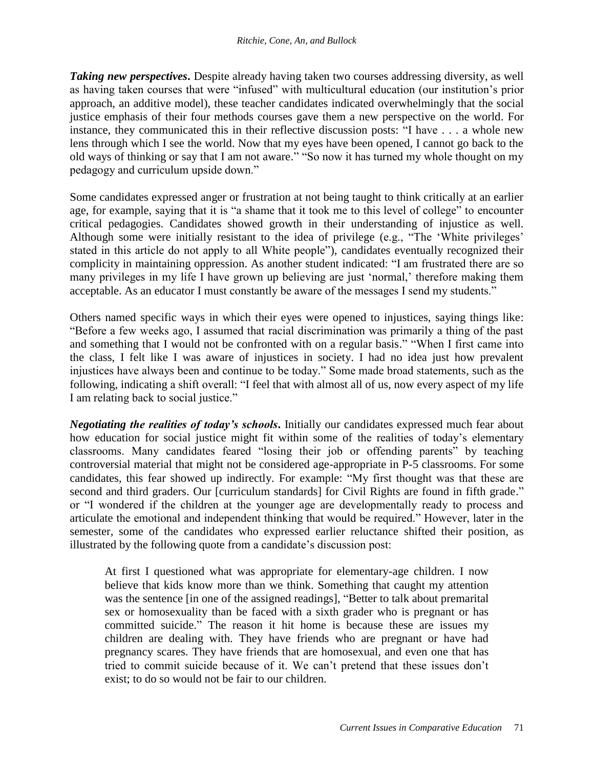**Taking new perspectives.** Despite already having taken two courses addressing diversity, as well as having taken courses that were "infused" with multicultural education (our institution's prior approach, an additive model), these teacher candidates indicated overwhelmingly that the social justice emphasis of their four methods courses gave them a new perspective on the world. For instance, they communicated this in their reflective discussion posts: "I have . . . a whole new lens through which I see the world. Now that my eyes have been opened, I cannot go back to the old ways of thinking or say that I am not aware." "So now it has turned my whole thought on my pedagogy and curriculum upside down."

Some candidates expressed anger or frustration at not being taught to think critically at an earlier age, for example, saying that it is "a shame that it took me to this level of college" to encounter critical pedagogies. Candidates showed growth in their understanding of injustice as well. Although some were initially resistant to the idea of privilege (e.g., "The 'White privileges' stated in this article do not apply to all White people"), candidates eventually recognized their complicity in maintaining oppression. As another student indicated: "I am frustrated there are so many privileges in my life I have grown up believing are just 'normal,' therefore making them acceptable. As an educator I must constantly be aware of the messages I send my students."

Others named specific ways in which their eyes were opened to injustices, saying things like: "Before a few weeks ago, I assumed that racial discrimination was primarily a thing of the past and something that I would not be confronted with on a regular basis." "When I first came into the class, I felt like I was aware of injustices in society. I had no idea just how prevalent injustices have always been and continue to be today." Some made broad statements, such as the following, indicating a shift overall: "I feel that with almost all of us, now every aspect of my life I am relating back to social justice."

*Negotiating the realities of today's schools***.** Initially our candidates expressed much fear about how education for social justice might fit within some of the realities of today's elementary classrooms. Many candidates feared "losing their job or offending parents" by teaching controversial material that might not be considered age-appropriate in P-5 classrooms. For some candidates, this fear showed up indirectly. For example: "My first thought was that these are second and third graders. Our [curriculum standards] for Civil Rights are found in fifth grade." or "I wondered if the children at the younger age are developmentally ready to process and articulate the emotional and independent thinking that would be required." However, later in the semester, some of the candidates who expressed earlier reluctance shifted their position, as illustrated by the following quote from a candidate's discussion post:

At first I questioned what was appropriate for elementary-age children. I now believe that kids know more than we think. Something that caught my attention was the sentence [in one of the assigned readings], "Better to talk about premarital sex or homosexuality than be faced with a sixth grader who is pregnant or has committed suicide." The reason it hit home is because these are issues my children are dealing with. They have friends who are pregnant or have had pregnancy scares. They have friends that are homosexual, and even one that has tried to commit suicide because of it. We can't pretend that these issues don't exist; to do so would not be fair to our children.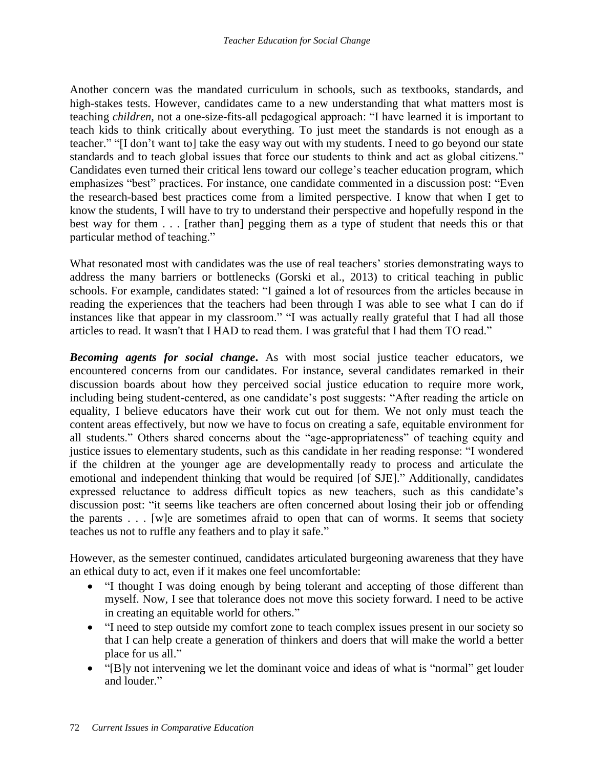Another concern was the mandated curriculum in schools, such as textbooks, standards, and high-stakes tests. However, candidates came to a new understanding that what matters most is teaching *children*, not a one-size-fits-all pedagogical approach: "I have learned it is important to teach kids to think critically about everything. To just meet the standards is not enough as a teacher." "[I don't want to] take the easy way out with my students. I need to go beyond our state standards and to teach global issues that force our students to think and act as global citizens." Candidates even turned their critical lens toward our college's teacher education program, which emphasizes "best" practices. For instance, one candidate commented in a discussion post: "Even the research-based best practices come from a limited perspective. I know that when I get to know the students, I will have to try to understand their perspective and hopefully respond in the best way for them . . . [rather than] pegging them as a type of student that needs this or that particular method of teaching."

What resonated most with candidates was the use of real teachers' stories demonstrating ways to address the many barriers or bottlenecks (Gorski et al., 2013) to critical teaching in public schools. For example, candidates stated: "I gained a lot of resources from the articles because in reading the experiences that the teachers had been through I was able to see what I can do if instances like that appear in my classroom." "I was actually really grateful that I had all those articles to read. It wasn't that I HAD to read them. I was grateful that I had them TO read."

*Becoming agents for social change***.** As with most social justice teacher educators, we encountered concerns from our candidates. For instance, several candidates remarked in their discussion boards about how they perceived social justice education to require more work, including being student-centered, as one candidate's post suggests: "After reading the article on equality, I believe educators have their work cut out for them. We not only must teach the content areas effectively, but now we have to focus on creating a safe, equitable environment for all students." Others shared concerns about the "age-appropriateness" of teaching equity and justice issues to elementary students, such as this candidate in her reading response: "I wondered if the children at the younger age are developmentally ready to process and articulate the emotional and independent thinking that would be required [of SJE]." Additionally, candidates expressed reluctance to address difficult topics as new teachers, such as this candidate's discussion post: "it seems like teachers are often concerned about losing their job or offending the parents . . . [w]e are sometimes afraid to open that can of worms. It seems that society teaches us not to ruffle any feathers and to play it safe."

However, as the semester continued, candidates articulated burgeoning awareness that they have an ethical duty to act, even if it makes one feel uncomfortable:

- "I thought I was doing enough by being tolerant and accepting of those different than myself. Now, I see that tolerance does not move this society forward. I need to be active in creating an equitable world for others."
- "I need to step outside my comfort zone to teach complex issues present in our society so that I can help create a generation of thinkers and doers that will make the world a better place for us all."
- "[B]y not intervening we let the dominant voice and ideas of what is "normal" get louder and louder."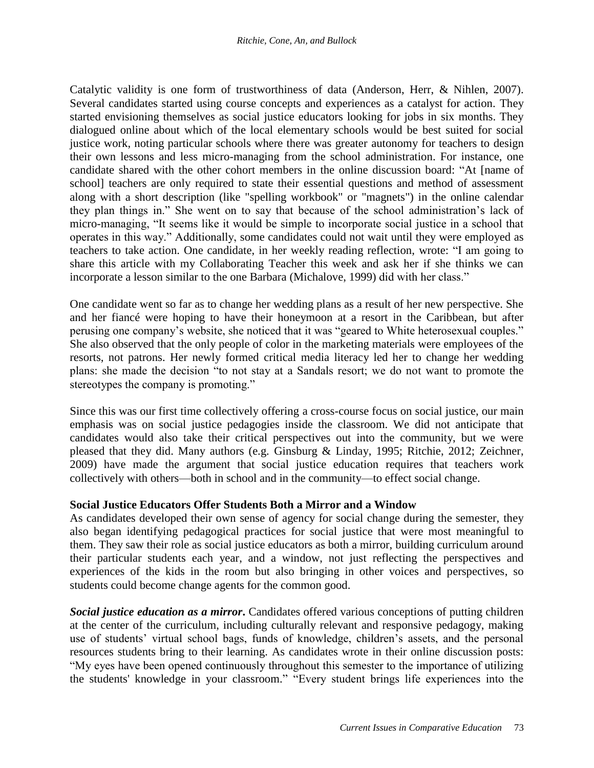Catalytic validity is one form of trustworthiness of data (Anderson, Herr, & Nihlen, 2007). Several candidates started using course concepts and experiences as a catalyst for action. They started envisioning themselves as social justice educators looking for jobs in six months. They dialogued online about which of the local elementary schools would be best suited for social justice work, noting particular schools where there was greater autonomy for teachers to design their own lessons and less micro-managing from the school administration. For instance, one candidate shared with the other cohort members in the online discussion board: "At [name of school] teachers are only required to state their essential questions and method of assessment along with a short description (like "spelling workbook" or "magnets") in the online calendar they plan things in." She went on to say that because of the school administration's lack of micro-managing, "It seems like it would be simple to incorporate social justice in a school that operates in this way." Additionally, some candidates could not wait until they were employed as teachers to take action. One candidate, in her weekly reading reflection, wrote: "I am going to share this article with my Collaborating Teacher this week and ask her if she thinks we can incorporate a lesson similar to the one Barbara (Michalove, 1999) did with her class."

One candidate went so far as to change her wedding plans as a result of her new perspective. She and her fiancé were hoping to have their honeymoon at a resort in the Caribbean, but after perusing one company's website, she noticed that it was "geared to White heterosexual couples." She also observed that the only people of color in the marketing materials were employees of the resorts, not patrons. Her newly formed critical media literacy led her to change her wedding plans: she made the decision "to not stay at a Sandals resort; we do not want to promote the stereotypes the company is promoting."

Since this was our first time collectively offering a cross-course focus on social justice, our main emphasis was on social justice pedagogies inside the classroom. We did not anticipate that candidates would also take their critical perspectives out into the community, but we were pleased that they did. Many authors (e.g. Ginsburg & Linday, 1995; Ritchie, 2012; Zeichner, 2009) have made the argument that social justice education requires that teachers work collectively with others—both in school and in the community—to effect social change.

## **Social Justice Educators Offer Students Both a Mirror and a Window**

As candidates developed their own sense of agency for social change during the semester, they also began identifying pedagogical practices for social justice that were most meaningful to them. They saw their role as social justice educators as both a mirror, building curriculum around their particular students each year, and a window, not just reflecting the perspectives and experiences of the kids in the room but also bringing in other voices and perspectives, so students could become change agents for the common good.

*Social justice education as a mirror***.** Candidates offered various conceptions of putting children at the center of the curriculum, including culturally relevant and responsive pedagogy, making use of students' virtual school bags, funds of knowledge, children's assets, and the personal resources students bring to their learning. As candidates wrote in their online discussion posts: "My eyes have been opened continuously throughout this semester to the importance of utilizing the students' knowledge in your classroom." "Every student brings life experiences into the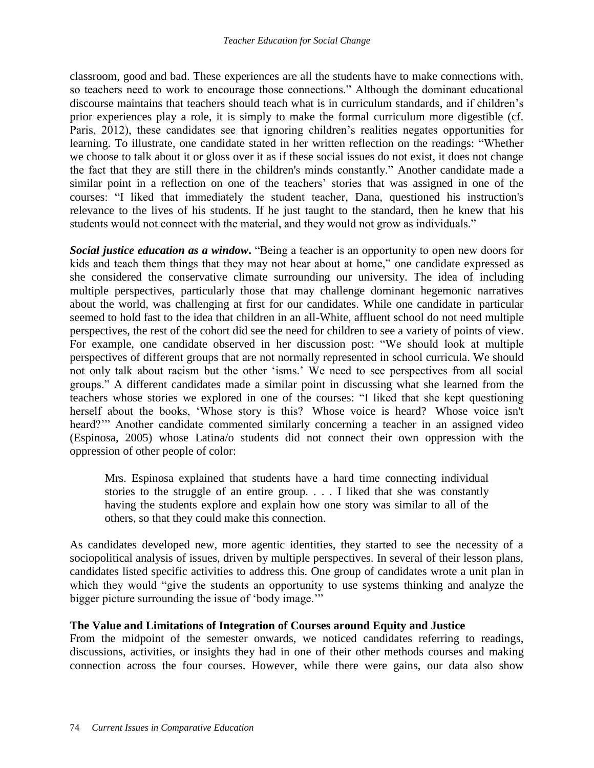classroom, good and bad. These experiences are all the students have to make connections with, so teachers need to work to encourage those connections." Although the dominant educational discourse maintains that teachers should teach what is in curriculum standards, and if children's prior experiences play a role, it is simply to make the formal curriculum more digestible (cf. Paris, 2012), these candidates see that ignoring children's realities negates opportunities for learning. To illustrate, one candidate stated in her written reflection on the readings: "Whether we choose to talk about it or gloss over it as if these social issues do not exist, it does not change the fact that they are still there in the children's minds constantly." Another candidate made a similar point in a reflection on one of the teachers' stories that was assigned in one of the courses: "I liked that immediately the student teacher, Dana, questioned his instruction's relevance to the lives of his students. If he just taught to the standard, then he knew that his students would not connect with the material, and they would not grow as individuals."

*Social justice education as a window***.** "Being a teacher is an opportunity to open new doors for kids and teach them things that they may not hear about at home," one candidate expressed as she considered the conservative climate surrounding our university. The idea of including multiple perspectives, particularly those that may challenge dominant hegemonic narratives about the world, was challenging at first for our candidates. While one candidate in particular seemed to hold fast to the idea that children in an all-White, affluent school do not need multiple perspectives, the rest of the cohort did see the need for children to see a variety of points of view. For example, one candidate observed in her discussion post: "We should look at multiple perspectives of different groups that are not normally represented in school curricula. We should not only talk about racism but the other 'isms.' We need to see perspectives from all social groups." A different candidates made a similar point in discussing what she learned from the teachers whose stories we explored in one of the courses: "I liked that she kept questioning herself about the books, 'Whose story is this? Whose voice is heard? Whose voice isn't heard?'" Another candidate commented similarly concerning a teacher in an assigned video (Espinosa, 2005) whose Latina/o students did not connect their own oppression with the oppression of other people of color:

Mrs. Espinosa explained that students have a hard time connecting individual stories to the struggle of an entire group. . . . I liked that she was constantly having the students explore and explain how one story was similar to all of the others, so that they could make this connection.

As candidates developed new, more agentic identities, they started to see the necessity of a sociopolitical analysis of issues, driven by multiple perspectives. In several of their lesson plans, candidates listed specific activities to address this. One group of candidates wrote a unit plan in which they would "give the students an opportunity to use systems thinking and analyze the bigger picture surrounding the issue of 'body image.'"

#### **The Value and Limitations of Integration of Courses around Equity and Justice**

From the midpoint of the semester onwards, we noticed candidates referring to readings, discussions, activities, or insights they had in one of their other methods courses and making connection across the four courses. However, while there were gains, our data also show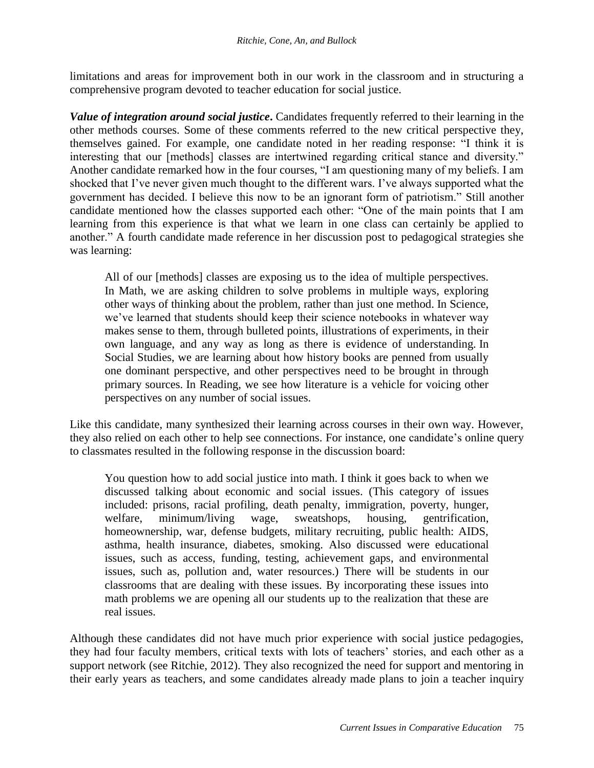limitations and areas for improvement both in our work in the classroom and in structuring a comprehensive program devoted to teacher education for social justice.

*Value of integration around social justice***.** Candidates frequently referred to their learning in the other methods courses. Some of these comments referred to the new critical perspective they, themselves gained. For example, one candidate noted in her reading response: "I think it is interesting that our [methods] classes are intertwined regarding critical stance and diversity." Another candidate remarked how in the four courses, "I am questioning many of my beliefs. I am shocked that I've never given much thought to the different wars. I've always supported what the government has decided. I believe this now to be an ignorant form of patriotism." Still another candidate mentioned how the classes supported each other: "One of the main points that I am learning from this experience is that what we learn in one class can certainly be applied to another." A fourth candidate made reference in her discussion post to pedagogical strategies she was learning:

All of our [methods] classes are exposing us to the idea of multiple perspectives. In Math, we are asking children to solve problems in multiple ways, exploring other ways of thinking about the problem, rather than just one method. In Science, we've learned that students should keep their science notebooks in whatever way makes sense to them, through bulleted points, illustrations of experiments, in their own language, and any way as long as there is evidence of understanding. In Social Studies, we are learning about how history books are penned from usually one dominant perspective, and other perspectives need to be brought in through primary sources. In Reading, we see how literature is a vehicle for voicing other perspectives on any number of social issues.

Like this candidate, many synthesized their learning across courses in their own way. However, they also relied on each other to help see connections. For instance, one candidate's online query to classmates resulted in the following response in the discussion board:

You question how to add social justice into math. I think it goes back to when we discussed talking about economic and social issues. (This category of issues included: prisons, racial profiling, death penalty, immigration, poverty, hunger, welfare, minimum/living wage, sweatshops, housing, gentrification, homeownership, war, defense budgets, military recruiting, public health: AIDS, asthma, health insurance, diabetes, smoking. Also discussed were educational issues, such as access, funding, testing, achievement gaps, and environmental issues, such as, pollution and, water resources.) There will be students in our classrooms that are dealing with these issues. By incorporating these issues into math problems we are opening all our students up to the realization that these are real issues.

Although these candidates did not have much prior experience with social justice pedagogies, they had four faculty members, critical texts with lots of teachers' stories, and each other as a support network (see Ritchie, 2012). They also recognized the need for support and mentoring in their early years as teachers, and some candidates already made plans to join a teacher inquiry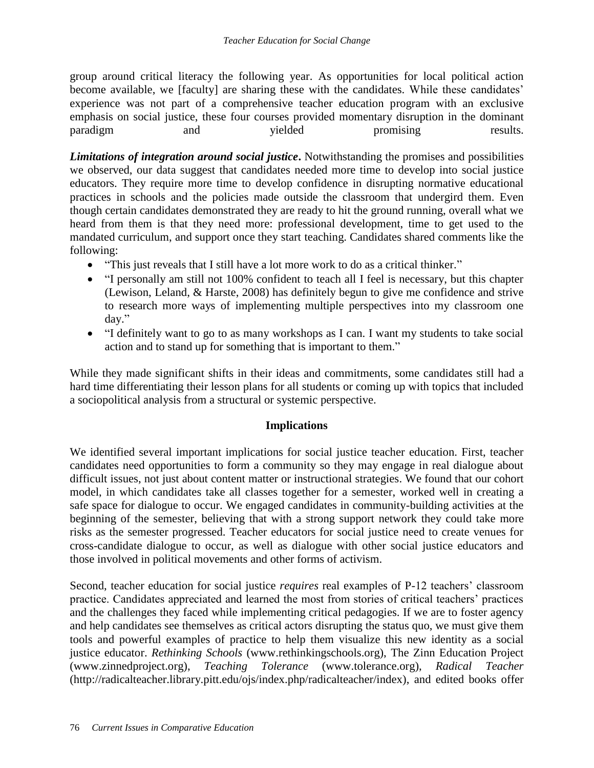group around critical literacy the following year. As opportunities for local political action become available, we [faculty] are sharing these with the candidates. While these candidates' experience was not part of a comprehensive teacher education program with an exclusive emphasis on social justice, these four courses provided momentary disruption in the dominant paradigm and promising results.

*Limitations of integration around social justice***.** Notwithstanding the promises and possibilities we observed, our data suggest that candidates needed more time to develop into social justice educators. They require more time to develop confidence in disrupting normative educational practices in schools and the policies made outside the classroom that undergird them. Even though certain candidates demonstrated they are ready to hit the ground running, overall what we heard from them is that they need more: professional development, time to get used to the mandated curriculum, and support once they start teaching. Candidates shared comments like the following:

- "This just reveals that I still have a lot more work to do as a critical thinker."
- "I personally am still not 100% confident to teach all I feel is necessary, but this chapter (Lewison, Leland, & Harste, 2008) has definitely begun to give me confidence and strive to research more ways of implementing multiple perspectives into my classroom one day."
- "I definitely want to go to as many workshops as I can. I want my students to take social action and to stand up for something that is important to them."

While they made significant shifts in their ideas and commitments, some candidates still had a hard time differentiating their lesson plans for all students or coming up with topics that included a sociopolitical analysis from a structural or systemic perspective.

## **Implications**

We identified several important implications for social justice teacher education. First, teacher candidates need opportunities to form a community so they may engage in real dialogue about difficult issues, not just about content matter or instructional strategies. We found that our cohort model, in which candidates take all classes together for a semester, worked well in creating a safe space for dialogue to occur. We engaged candidates in community-building activities at the beginning of the semester, believing that with a strong support network they could take more risks as the semester progressed. Teacher educators for social justice need to create venues for cross-candidate dialogue to occur, as well as dialogue with other social justice educators and those involved in political movements and other forms of activism.

Second, teacher education for social justice *requires* real examples of P-12 teachers' classroom practice. Candidates appreciated and learned the most from stories of critical teachers' practices and the challenges they faced while implementing critical pedagogies. If we are to foster agency and help candidates see themselves as critical actors disrupting the status quo, we must give them tools and powerful examples of practice to help them visualize this new identity as a social justice educator. *Rethinking Schools* (www.rethinkingschools.org), The Zinn Education Project (www.zinnedproject.org), *Teaching Tolerance* (www.tolerance.org), *Radical Teacher* (http://radicalteacher.library.pitt.edu/ojs/index.php/radicalteacher/index), and edited books offer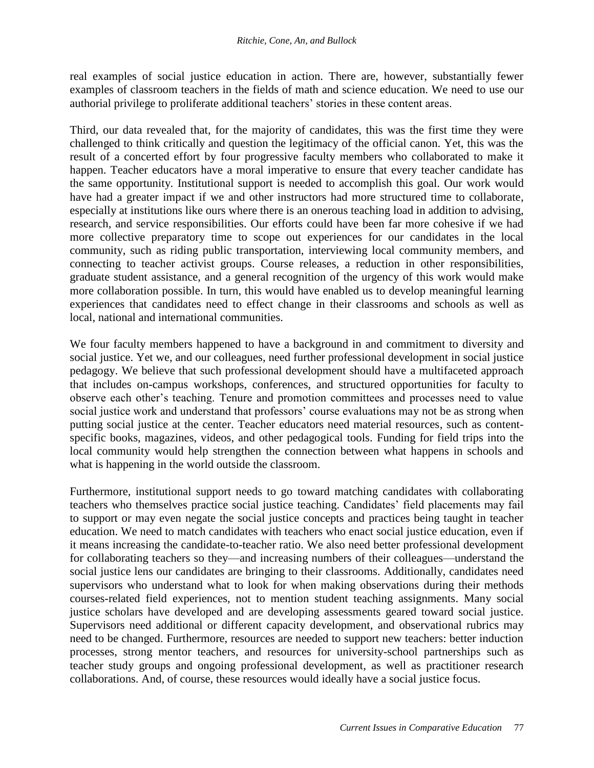real examples of social justice education in action. There are, however, substantially fewer examples of classroom teachers in the fields of math and science education. We need to use our authorial privilege to proliferate additional teachers' stories in these content areas.

Third, our data revealed that, for the majority of candidates, this was the first time they were challenged to think critically and question the legitimacy of the official canon. Yet, this was the result of a concerted effort by four progressive faculty members who collaborated to make it happen. Teacher educators have a moral imperative to ensure that every teacher candidate has the same opportunity. Institutional support is needed to accomplish this goal. Our work would have had a greater impact if we and other instructors had more structured time to collaborate, especially at institutions like ours where there is an onerous teaching load in addition to advising, research, and service responsibilities. Our efforts could have been far more cohesive if we had more collective preparatory time to scope out experiences for our candidates in the local community, such as riding public transportation, interviewing local community members, and connecting to teacher activist groups. Course releases, a reduction in other responsibilities, graduate student assistance, and a general recognition of the urgency of this work would make more collaboration possible. In turn, this would have enabled us to develop meaningful learning experiences that candidates need to effect change in their classrooms and schools as well as local, national and international communities.

We four faculty members happened to have a background in and commitment to diversity and social justice. Yet we, and our colleagues, need further professional development in social justice pedagogy. We believe that such professional development should have a multifaceted approach that includes on-campus workshops, conferences, and structured opportunities for faculty to observe each other's teaching. Tenure and promotion committees and processes need to value social justice work and understand that professors' course evaluations may not be as strong when putting social justice at the center. Teacher educators need material resources, such as contentspecific books, magazines, videos, and other pedagogical tools. Funding for field trips into the local community would help strengthen the connection between what happens in schools and what is happening in the world outside the classroom.

Furthermore, institutional support needs to go toward matching candidates with collaborating teachers who themselves practice social justice teaching. Candidates' field placements may fail to support or may even negate the social justice concepts and practices being taught in teacher education. We need to match candidates with teachers who enact social justice education, even if it means increasing the candidate-to-teacher ratio. We also need better professional development for collaborating teachers so they—and increasing numbers of their colleagues—understand the social justice lens our candidates are bringing to their classrooms. Additionally, candidates need supervisors who understand what to look for when making observations during their methods courses-related field experiences, not to mention student teaching assignments. Many social justice scholars have developed and are developing assessments geared toward social justice. Supervisors need additional or different capacity development, and observational rubrics may need to be changed. Furthermore, resources are needed to support new teachers: better induction processes, strong mentor teachers, and resources for university-school partnerships such as teacher study groups and ongoing professional development, as well as practitioner research collaborations. And, of course, these resources would ideally have a social justice focus.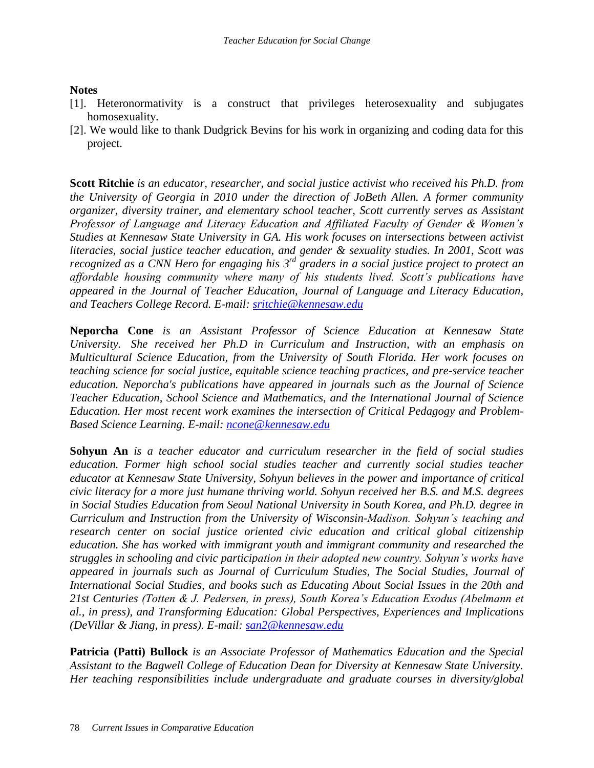### **Notes**

- [1]. Heteronormativity is a construct that privileges heterosexuality and subjugates homosexuality.
- [2]. We would like to thank Dudgrick Bevins for his work in organizing and coding data for this project.

**Scott Ritchie** *is an educator, researcher, and social justice activist who received his Ph.D. from the University of Georgia in 2010 under the direction of JoBeth Allen. A former community organizer, diversity trainer, and elementary school teacher, Scott currently serves as Assistant Professor of Language and Literacy Education and Affiliated Faculty of Gender & Women's Studies at Kennesaw State University in GA. His work focuses on intersections between activist literacies, social justice teacher education, and gender & sexuality studies. In 2001, Scott was*  recognized as a CNN Hero for engaging his 3<sup>rd</sup> graders in a social justice project to protect an *affordable housing community where many of his students lived. Scott's publications have appeared in the Journal of Teacher Education, Journal of Language and Literacy Education, and Teachers College Record. E-mail: [sritchie@kennesaw.edu](mailto:sritchie@kennesaw.edu)*

**Neporcha Cone** *is an Assistant Professor of Science Education at Kennesaw State University. She received her Ph.D in Curriculum and Instruction, with an emphasis on Multicultural Science Education, from the University of South Florida. Her work focuses on teaching science for social justice, equitable science teaching practices, and pre-service teacher education. Neporcha's publications have appeared in journals such as the Journal of Science Teacher Education, School Science and Mathematics, and the International Journal of Science Education. Her most recent work examines the intersection of Critical Pedagogy and Problem-Based Science Learning. E-mail: [ncone@kennesaw.edu](mailto:ncone@kennesaw.edu)* 

**Sohyun An** *is a teacher educator and curriculum researcher in the field of social studies education. Former high school social studies teacher and currently social studies teacher educator at Kennesaw State University, Sohyun believes in the power and importance of critical civic literacy for a more just humane thriving world. Sohyun received her B.S. and M.S. degrees in Social Studies Education from Seoul National University in South Korea, and Ph.D. degree in Curriculum and Instruction from the University of Wisconsin-Madison. Sohyun's teaching and research center on social justice oriented civic education and critical global citizenship education. She has worked with immigrant youth and immigrant community and researched the struggles in schooling and civic participation in their adopted new country. Sohyun's works have appeared in journals such as Journal of Curriculum Studies, The Social Studies, Journal of International Social Studies, and books such as Educating About Social Issues in the 20th and 21st Centuries (Totten & J. Pedersen, in press), South Korea's Education Exodus (Abelmann et al., in press), and Transforming Education: Global Perspectives, Experiences and Implications (DeVillar & Jiang, in press). E-mail: [san2@kennesaw.edu](mailto:san2@kennesaw.edu)*

**Patricia (Patti) Bullock** *is an Associate Professor of Mathematics Education and the Special Assistant to the Bagwell College of Education Dean for Diversity at Kennesaw State University. Her teaching responsibilities include undergraduate and graduate courses in diversity/global*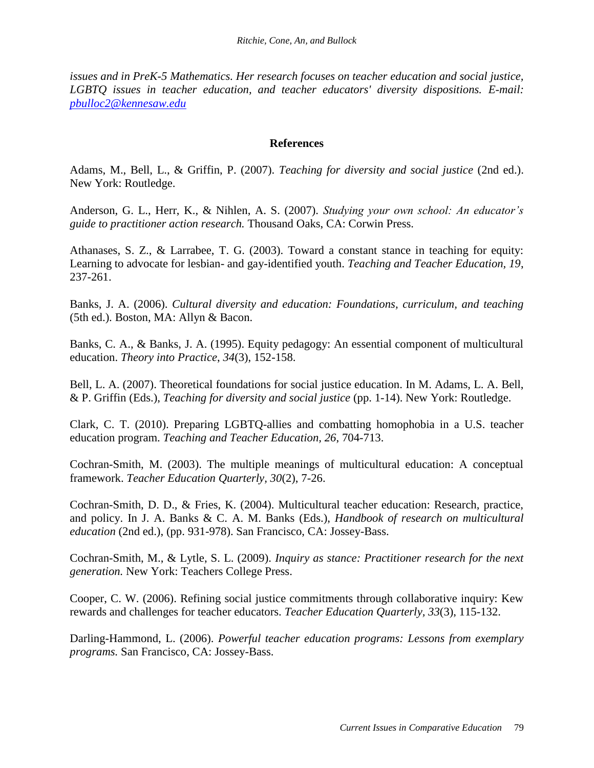*issues and in PreK-5 Mathematics. Her research focuses on teacher education and social justice, LGBTQ issues in teacher education, and teacher educators' diversity dispositions. E-mail: [pbulloc2@kennesaw.edu](mailto:pbulloc2@kennesaw.edu)*

### **References**

Adams, M., Bell, L., & Griffin, P. (2007). *Teaching for diversity and social justice* (2nd ed.). New York: Routledge.

Anderson, G. L., Herr, K., & Nihlen, A. S. (2007). *Studying your own school: An educator's guide to practitioner action research.* Thousand Oaks, CA: Corwin Press.

Athanases, S. Z., & Larrabee, T. G. (2003). Toward a constant stance in teaching for equity: Learning to advocate for lesbian- and gay-identified youth. *Teaching and Teacher Education, 19*, 237-261.

Banks, J. A. (2006). *Cultural diversity and education: Foundations, curriculum, and teaching*  (5th ed.). Boston, MA: Allyn & Bacon.

Banks, C. A., & Banks, J. A. (1995). Equity pedagogy: An essential component of multicultural education. *Theory into Practice*, *34*(3), 152-158.

Bell, L. A. (2007). Theoretical foundations for social justice education. In M. Adams, L. A. Bell, & P. Griffin (Eds.), *Teaching for diversity and social justice* (pp. 1-14). New York: Routledge.

Clark, C. T. (2010). Preparing LGBTQ-allies and combatting homophobia in a U.S. teacher education program. *Teaching and Teacher Education, 26*, 704-713.

Cochran-Smith, M. (2003). The multiple meanings of multicultural education: A conceptual framework. *Teacher Education Quarterly, 30*(2), 7-26.

Cochran-Smith, D. D., & Fries, K. (2004). Multicultural teacher education: Research, practice, and policy. In J. A. Banks & C. A. M. Banks (Eds.), *Handbook of research on multicultural education* (2nd ed.), (pp. 931-978). San Francisco, CA: Jossey-Bass.

Cochran-Smith, M., & Lytle, S. L. (2009). *Inquiry as stance: Practitioner research for the next generation.* New York: Teachers College Press.

Cooper, C. W. (2006). Refining social justice commitments through collaborative inquiry: Kew rewards and challenges for teacher educators. *Teacher Education Quarterly, 33*(3), 115-132.

Darling-Hammond, L. (2006). *Powerful teacher education programs: Lessons from exemplary programs.* San Francisco, CA: Jossey-Bass.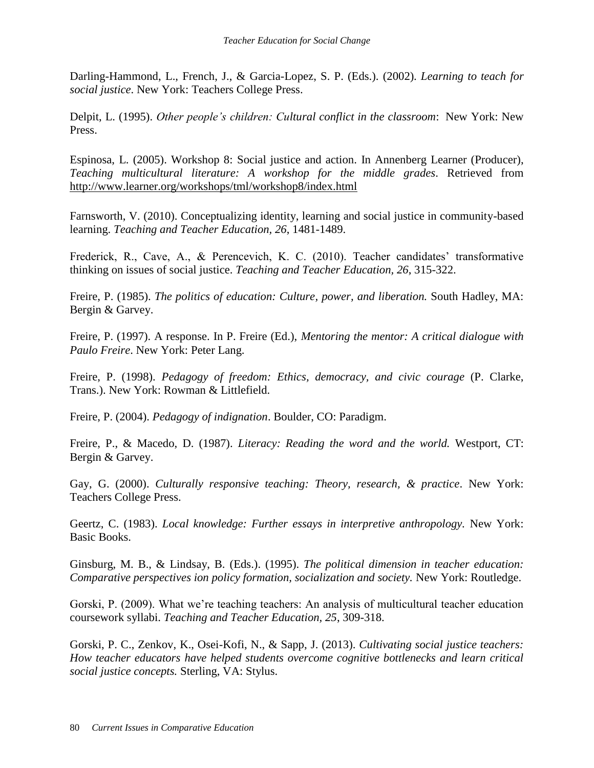Darling-Hammond, L., French, J., & Garcia-Lopez, S. P. (Eds.). (2002). *Learning to teach for social justice*. New York: Teachers College Press.

Delpit, L. (1995). *Other people's children: Cultural conflict in the classroom*: New York: New Press.

Espinosa, L. (2005). Workshop 8: Social justice and action. In Annenberg Learner (Producer), *Teaching multicultural literature: A workshop for the middle grades*. Retrieved from <http://www.learner.org/workshops/tml/workshop8/index.html>

Farnsworth, V. (2010). Conceptualizing identity, learning and social justice in community-based learning. *Teaching and Teacher Education, 26*, 1481-1489.

Frederick, R., Cave, A., & Perencevich, K. C. (2010). Teacher candidates' transformative thinking on issues of social justice. *Teaching and Teacher Education, 26*, 315-322.

Freire, P. (1985). *The politics of education: Culture, power, and liberation.* South Hadley, MA: Bergin & Garvey.

Freire, P. (1997). A response. In P. Freire (Ed.), *Mentoring the mentor: A critical dialogue with Paulo Freire*. New York: Peter Lang.

Freire, P. (1998). *Pedagogy of freedom: Ethics, democracy, and civic courage* (P. Clarke, Trans.). New York: Rowman & Littlefield.

Freire, P. (2004). *Pedagogy of indignation*. Boulder, CO: Paradigm.

Freire, P., & Macedo, D. (1987). *Literacy: Reading the word and the world.* Westport, CT: Bergin & Garvey.

Gay, G. (2000). *Culturally responsive teaching: Theory, research, & practice*. New York: Teachers College Press.

Geertz, C. (1983). *Local knowledge: Further essays in interpretive anthropology.* New York: Basic Books.

Ginsburg, M. B., & Lindsay, B. (Eds.). (1995). *The political dimension in teacher education: Comparative perspectives ion policy formation, socialization and society.* New York: Routledge.

Gorski, P. (2009). What we're teaching teachers: An analysis of multicultural teacher education coursework syllabi. *Teaching and Teacher Education, 25*, 309-318.

Gorski, P. C., Zenkov, K., Osei-Kofi, N., & Sapp, J. (2013). *Cultivating social justice teachers: How teacher educators have helped students overcome cognitive bottlenecks and learn critical social justice concepts.* Sterling, VA: Stylus.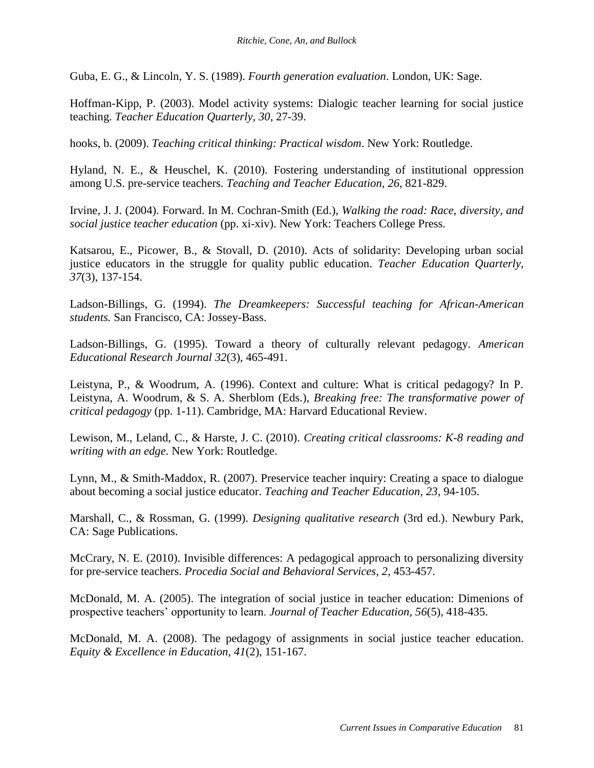Guba, E. G., & Lincoln, Y. S. (1989). *Fourth generation evaluation*. London, UK: Sage.

Hoffman-Kipp, P. (2003). Model activity systems: Dialogic teacher learning for social justice teaching. *Teacher Education Quarterly, 30*, 27-39.

hooks, b. (2009). *Teaching critical thinking: Practical wisdom*. New York: Routledge.

Hyland, N. E., & Heuschel, K. (2010). Fostering understanding of institutional oppression among U.S. pre-service teachers. *Teaching and Teacher Education, 26*, 821-829.

Irvine, J. J. (2004). Forward. In M. Cochran-Smith (Ed.), *Walking the road: Race, diversity, and social justice teacher education* (pp. xi-xiv). New York: Teachers College Press.

Katsarou, E., Picower, B., & Stovall, D. (2010). Acts of solidarity: Developing urban social justice educators in the struggle for quality public education. *Teacher Education Quarterly, 37*(3), 137*-*154.

Ladson-Billings, G. (1994). *The Dreamkeepers: Successful teaching for African-American students.* San Francisco, CA: Jossey-Bass.

Ladson-Billings, G. (1995). Toward a theory of culturally relevant pedagogy. *American Educational Research Journal 32*(3), 465-491.

Leistyna, P., & Woodrum, A. (1996). Context and culture: What is critical pedagogy? In P. Leistyna, A. Woodrum, & S. A. Sherblom (Eds.), *Breaking free: The transformative power of critical pedagogy* (pp. 1-11). Cambridge, MA: Harvard Educational Review.

Lewison, M., Leland, C., & Harste, J. C. (2010). *Creating critical classrooms: K-8 reading and writing with an edge.* New York: Routledge.

Lynn, M., & Smith-Maddox, R. (2007). Preservice teacher inquiry: Creating a space to dialogue about becoming a social justice educator. *Teaching and Teacher Education, 23*, 94-105.

Marshall, C., & Rossman, G. (1999). *Designing qualitative research* (3rd ed.). Newbury Park, CA: Sage Publications.

McCrary, N. E. (2010). Invisible differences: A pedagogical approach to personalizing diversity for pre-service teachers. *Procedia Social and Behavioral Services, 2,* 453-457.

McDonald, M. A. (2005). The integration of social justice in teacher education: Dimenions of prospective teachers' opportunity to learn. *Journal of Teacher Education, 56*(5), 418-435.

McDonald, M. A. (2008). The pedagogy of assignments in social justice teacher education. *Equity & Excellence in Education, 41*(2), 151-167.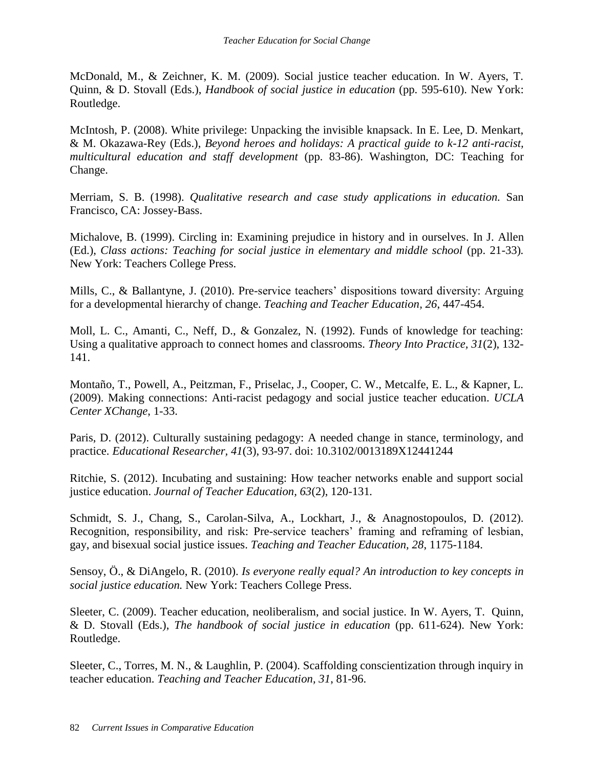McDonald, M., & Zeichner, K. M. (2009). Social justice teacher education. In W. Ayers, T. Quinn, & D. Stovall (Eds.), *Handbook of social justice in education* (pp. 595-610). New York: Routledge.

McIntosh, P. (2008). White privilege: Unpacking the invisible knapsack. In E. Lee, D. Menkart, & M. Okazawa-Rey (Eds.), *Beyond heroes and holidays: A practical guide to k-12 anti-racist, multicultural education and staff development* (pp. 83-86). Washington, DC: Teaching for Change.

Merriam, S. B. (1998). *Qualitative research and case study applications in education.* San Francisco, CA: Jossey-Bass.

Michalove, B. (1999). Circling in: Examining prejudice in history and in ourselves. In J. Allen (Ed.), *Class actions: Teaching for social justice in elementary and middle school* (pp. 21-33). New York: Teachers College Press.

Mills, C., & Ballantyne, J. (2010). Pre-service teachers' dispositions toward diversity: Arguing for a developmental hierarchy of change. *Teaching and Teacher Education, 26*, 447-454.

Moll, L. C., Amanti, C., Neff, D., & Gonzalez, N. (1992). Funds of knowledge for teaching: Using a qualitative approach to connect homes and classrooms. *Theory Into Practice, 31*(2), 132- 141.

Montaño, T., Powell, A., Peitzman, F., Priselac, J., Cooper, C. W., Metcalfe, E. L., & Kapner, L. (2009). Making connections: Anti-racist pedagogy and social justice teacher education. *UCLA Center XChange*, 1-33.

Paris, D. (2012). Culturally sustaining pedagogy: A needed change in stance, terminology, and practice. *Educational Researcher, 41*(3), 93-97. doi: 10.3102/0013189X12441244

Ritchie, S. (2012). Incubating and sustaining: How teacher networks enable and support social justice education. *Journal of Teacher Education, 63*(2), 120-131*.*

Schmidt, S. J., Chang, S., Carolan-Silva, A., Lockhart, J., & Anagnostopoulos, D. (2012). Recognition, responsibility, and risk: Pre-service teachers' framing and reframing of lesbian, gay, and bisexual social justice issues. *Teaching and Teacher Education, 28*, 1175-1184.

Sensoy, Ö., & DiAngelo, R. (2010). *Is everyone really equal? An introduction to key concepts in social justice education.* New York: Teachers College Press.

Sleeter, C. (2009). Teacher education, neoliberalism, and social justice. In W. Ayers, T. Quinn, & D. Stovall (Eds.), *The handbook of social justice in education* (pp. 611-624). New York: Routledge.

Sleeter, C., Torres, M. N., & Laughlin, P. (2004). Scaffolding conscientization through inquiry in teacher education. *Teaching and Teacher Education, 31*, 81-96.